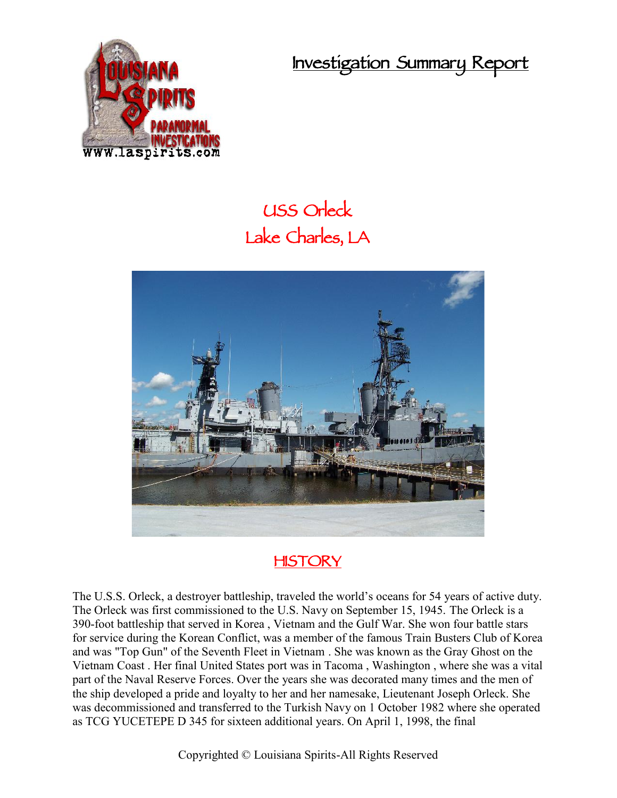**Investigation Summary Report**



## **USS Orleck Lake Charles, LA**



## **HISTORY**

The U.S.S. Orleck, a destroyer battleship, traveled the world's oceans for 54 years of active duty. The Orleck was first commissioned to the U.S. Navy on September 15, 1945. The Orleck is a 390-foot battleship that served in Korea , Vietnam and the Gulf War. She won four battle stars for service during the Korean Conflict, was a member of the famous Train Busters Club of Korea and was "Top Gun" of the Seventh Fleet in Vietnam . She was known as the Gray Ghost on the Vietnam Coast . Her final United States port was in Tacoma , Washington , where she was a vital part of the Naval Reserve Forces. Over the years she was decorated many times and the men of the ship developed a pride and loyalty to her and her namesake, Lieutenant Joseph Orleck. She was decommissioned and transferred to the Turkish Navy on 1 October 1982 where she operated as TCG YUCETEPE D 345 for sixteen additional years. On April 1, 1998, the final

Copyrighted © Louisiana Spirits-All Rights Reserved